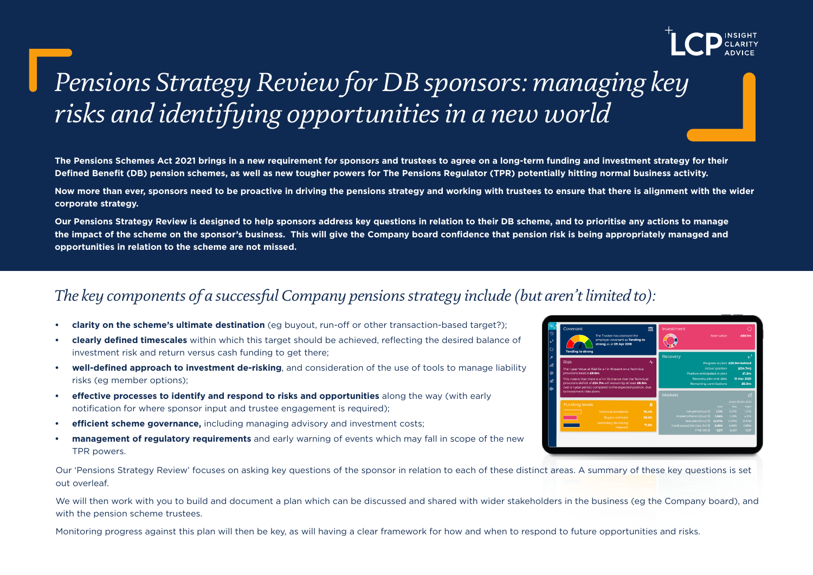

# *Pensions Strategy Review for DB sponsors: managing key risks and identifying opportunities in a new world*

**The Pensions Schemes Act 2021 brings in a new requirement for sponsors and trustees to agree on a long-term funding and investment strategy for their Defined Benefit (DB) pension schemes, as well as new tougher powers for The Pensions Regulator (TPR) potentially hitting normal business activity.** 

**Now more than ever, sponsors need to be proactive in driving the pensions strategy and working with trustees to ensure that there is alignment with the wider corporate strategy.** 

**Our Pensions Strategy Review is designed to help sponsors address key questions in relation to their DB scheme, and to prioritise any actions to manage the impact of the scheme on the sponsor's business. This will give the Company board confidence that pension risk is being appropriately managed and opportunities in relation to the scheme are not missed.**

## *The key components of a successful Company pensions strategy include (but aren't limited to):*

- **• clarity on the scheme's ultimate destination** (eg buyout, run-off or other transaction-based target?);
- **• clearly defined timescales** within which this target should be achieved, reflecting the desired balance of investment risk and return versus cash funding to get there;
- **• well-defined approach to investment de-risking**, and consideration of the use of tools to manage liability risks (eg member options);
- **• effective processes to identify and respond to risks and opportunities** along the way (with early notification for where sponsor input and trustee engagement is required);
- **• efficient scheme governance,** including managing advisory and investment costs;
- **• management of regulatory requirements** and early warning of events which may fall in scope of the new TPR powers.

Our 'Pensions Strategy Review' focuses on asking key questions of the sponsor in relation to each of these distinct areas. A summary of these key questions is set out overleaf.

We will then work with you to build and document a plan which can be discussed and shared with wider stakeholders in the business (eg the Company board), and with the pension scheme trustees.

Monitoring progress against this plan will then be key, as will having a clear framework for how and when to respond to future opportunities and risks.

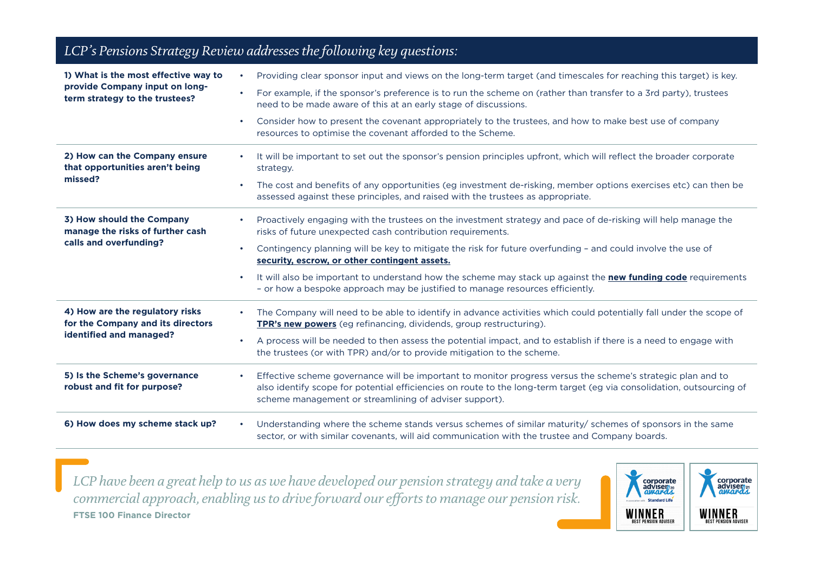| LCP's Pensions Strategy Review addresses the following key questions:                                    |                                                                                                                                                                                                                                                                                                                                                                                                                                                                                                                                                                                      |
|----------------------------------------------------------------------------------------------------------|--------------------------------------------------------------------------------------------------------------------------------------------------------------------------------------------------------------------------------------------------------------------------------------------------------------------------------------------------------------------------------------------------------------------------------------------------------------------------------------------------------------------------------------------------------------------------------------|
| 1) What is the most effective way to<br>provide Company input on long-<br>term strategy to the trustees? | Providing clear sponsor input and views on the long-term target (and timescales for reaching this target) is key.<br>$\bullet$<br>For example, if the sponsor's preference is to run the scheme on (rather than transfer to a 3rd party), trustees<br>$\bullet$<br>need to be made aware of this at an early stage of discussions.<br>Consider how to present the covenant appropriately to the trustees, and how to make best use of company<br>$\bullet$<br>resources to optimise the covenant afforded to the Scheme.                                                             |
| 2) How can the Company ensure<br>that opportunities aren't being<br>missed?                              | It will be important to set out the sponsor's pension principles upfront, which will reflect the broader corporate<br>$\bullet$<br>strategy.<br>The cost and benefits of any opportunities (eg investment de-risking, member options exercises etc) can then be<br>$\bullet$<br>assessed against these principles, and raised with the trustees as appropriate.                                                                                                                                                                                                                      |
| 3) How should the Company<br>manage the risks of further cash<br>calls and overfunding?                  | Proactively engaging with the trustees on the investment strategy and pace of de-risking will help manage the<br>$\bullet$<br>risks of future unexpected cash contribution requirements.<br>Contingency planning will be key to mitigate the risk for future overfunding - and could involve the use of<br>$\bullet$<br>security, escrow, or other contingent assets.<br>It will also be important to understand how the scheme may stack up against the new funding code requirements<br>$\bullet$<br>- or how a bespoke approach may be justified to manage resources efficiently. |
| 4) How are the regulatory risks<br>for the Company and its directors<br>identified and managed?          | The Company will need to be able to identify in advance activities which could potentially fall under the scope of<br>$\bullet$<br>TPR's new powers (eg refinancing, dividends, group restructuring).<br>A process will be needed to then assess the potential impact, and to establish if there is a need to engage with<br>$\bullet$<br>the trustees (or with TPR) and/or to provide mitigation to the scheme.                                                                                                                                                                     |
| 5) Is the Scheme's governance<br>robust and fit for purpose?                                             | Effective scheme governance will be important to monitor progress versus the scheme's strategic plan and to<br>$\bullet$<br>also identify scope for potential efficiencies on route to the long-term target (eg via consolidation, outsourcing of<br>scheme management or streamlining of adviser support).                                                                                                                                                                                                                                                                          |
| 6) How does my scheme stack up?                                                                          | Understanding where the scheme stands versus schemes of similar maturity/ schemes of sponsors in the same<br>$\bullet$<br>sector, or with similar covenants, will aid communication with the trustee and Company boards.                                                                                                                                                                                                                                                                                                                                                             |

*LCP have been a great help to us as we have developed our pension strategy and take a very commercial approach, enabling us to drive forward our efforts to manage our pension risk.* **FTSE 100 Finance Director**